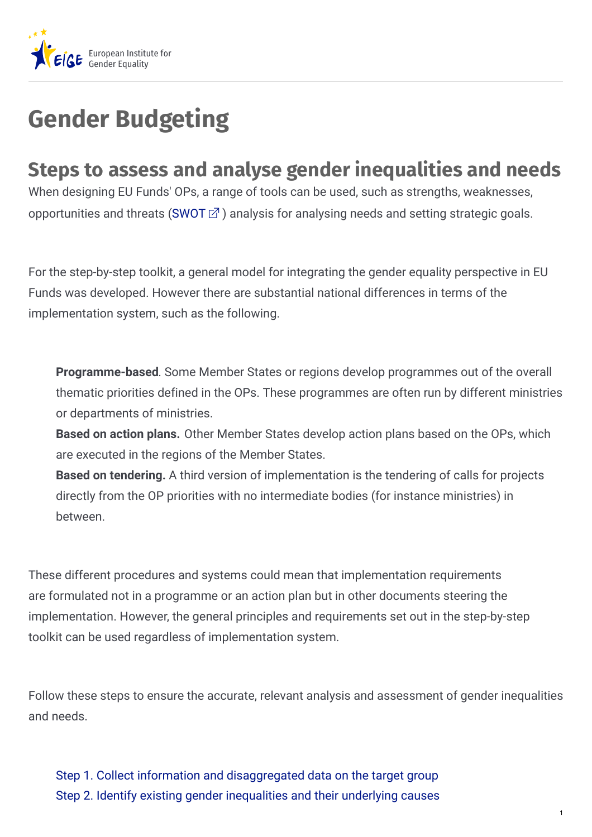

## **Gender Budgeting**

## **Steps to assess and analyse gender inequalities and needs**

When designing EU Funds' OPs, a range of tools can be used, such as strengths, weaknesses, opportunities and threats [\(SWOT](https://www.includegender.org/toolbox/plan-and-prepare/swot/) $\mathbb{Z}$ ) analysis for analysing needs and setting strategic goals.

For the step-by-step toolkit, a general model for integrating the gender equality perspective in EU Funds was developed. However there are substantial national differences in terms of the implementation system, such as the following.

**Programme-based**. Some Member States or regions develop programmes out of the overall thematic priorities defined in the OPs. These programmes are often run by different ministries or departments of ministries.

**Based on action plans.** Other Member States develop action plans based on the OPs, which are executed in the regions of the Member States.

**Based on tendering.** A third version of implementation is the tendering of calls for projects directly from the OP priorities with no intermediate bodies (for instance ministries) in between.

These different procedures and systems could mean that implementation requirements are formulated not in a programme or an action plan but in other documents steering the implementation. However, the general principles and requirements set out in the step-by-step toolkit can be used regardless of implementation system.

Follow these steps to ensure the accurate, relevant analysis and assessment of gender inequalities and needs.